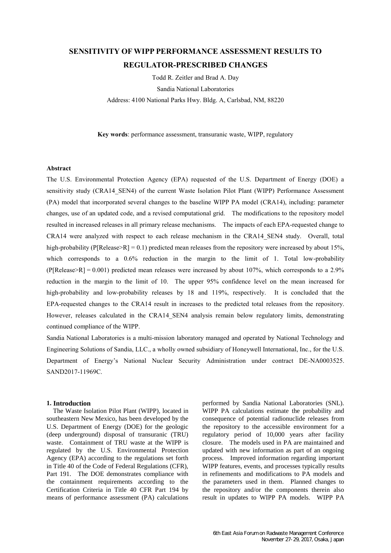# **SENSITIVITY OF WIPP PERFORMANCE ASSESSMENT RESULTS TO REGULATOR-PRESCRIBED CHANGES**

Todd R. Zeitler and Brad A. Day Sandia National Laboratories Address: 4100 National Parks Hwy. Bldg. A, Carlsbad, NM, 88220

**Key words**: performance assessment, transuranic waste, WIPP, regulatory

# **Abstract**

The U.S. Environmental Protection Agency (EPA) requested of the U.S. Department of Energy (DOE) a sensitivity study (CRA14\_SEN4) of the current Waste Isolation Pilot Plant (WIPP) Performance Assessment (PA) model that incorporated several changes to the baseline WIPP PA model (CRA14), including: parameter changes, use of an updated code, and a revised computational grid. The modifications to the repository model resulted in increased releases in all primary release mechanisms. The impacts of each EPA-requested change to CRA14 were analyzed with respect to each release mechanism in the CRA14\_SEN4 study. Overall, total high-probability (P[Release>R] = 0.1) predicted mean releases from the repository were increased by about 15%, which corresponds to a 0.6% reduction in the margin to the limit of 1. Total low-probability  $(P[Release > R] = 0.001)$  predicted mean releases were increased by about 107%, which corresponds to a 2.9% reduction in the margin to the limit of 10. The upper 95% confidence level on the mean increased for high-probability and low-probability releases by 18 and 119%, respectively. It is concluded that the EPA-requested changes to the CRA14 result in increases to the predicted total releases from the repository. However, releases calculated in the CRA14 SEN4 analysis remain below regulatory limits, demonstrating continued compliance of the WIPP.

Sandia National Laboratories is a multi-mission laboratory managed and operated by National Technology and Engineering Solutions of Sandia, LLC., a wholly owned subsidiary of Honeywell International, Inc., for the U.S. Department of Energy's National Nuclear Security Administration under contract DE-NA0003525. SAND2017-11969C.

#### **1. Introduction**

The Waste Isolation Pilot Plant (WIPP), located in southeastern New Mexico, has been developed by the U.S. Department of Energy (DOE) for the geologic (deep underground) disposal of transuranic (TRU) waste. Containment of TRU waste at the WIPP is regulated by the U.S. Environmental Protection Agency (EPA) according to the regulations set forth in Title 40 of the Code of Federal Regulations (CFR), Part 191. The DOE demonstrates compliance with the containment requirements according to the Certification Criteria in Title 40 CFR Part 194 by means of performance assessment (PA) calculations

performed by Sandia National Laboratories (SNL). WIPP PA calculations estimate the probability and consequence of potential radionuclide releases from the repository to the accessible environment for a regulatory period of 10,000 years after facility closure. The models used in PA are maintained and updated with new information as part of an ongoing process. Improved information regarding important WIPP features, events, and processes typically results in refinements and modifications to PA models and the parameters used in them. Planned changes to the repository and/or the components therein also result in updates to WIPP PA models. WIPP PA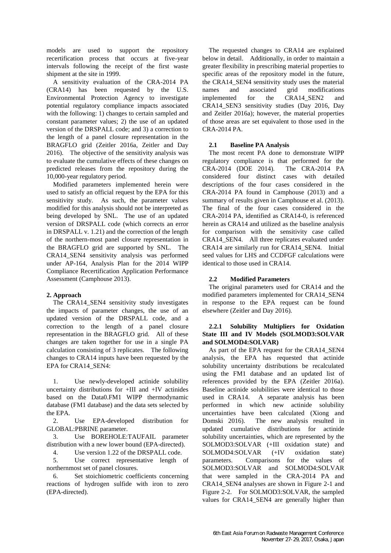models are used to support the repository recertification process that occurs at five-year intervals following the receipt of the first waste shipment at the site in 1999.

A sensitivity evaluation of the CRA-2014 PA (CRA14) has been requested by the U.S. Environmental Protection Agency to investigate potential regulatory compliance impacts associated with the following: 1) changes to certain sampled and constant parameter values; 2) the use of an updated version of the DRSPALL code; and 3) a correction to the length of a panel closure representation in the BRAGFLO grid (Zeitler 2016a, Zeitler and Day 2016). The objective of the sensitivity analysis was to evaluate the cumulative effects of these changes on predicted releases from the repository during the 10,000-year regulatory period.

Modified parameters implemented herein were used to satisfy an official request by the EPA for this sensitivity study. As such, the parameter values modified for this analysis should not be interpreted as being developed by SNL. The use of an updated version of DRSPALL code (which corrects an error in DRSPALL v. 1.21) and the correction of the length of the northern-most panel closure representation in the BRAGFLO grid are supported by SNL. The CRA14\_SEN4 sensitivity analysis was performed under AP-164, Analysis Plan for the 2014 WIPP Compliance Recertification Application Performance Assessment (Camphouse 2013).

# **2. Approach**

The CRA14\_SEN4 sensitivity study investigates the impacts of parameter changes, the use of an updated version of the DRSPALL code, and a correction to the length of a panel closure representation in the BRAGFLO grid. All of these changes are taken together for use in a single PA calculation consisting of 3 replicates. The following changes to CRA14 inputs have been requested by the EPA for CRA14\_SEN4:

1. Use newly-developed actinide solubility uncertainty distributions for +III and +IV actinides based on the Data0.FM1 WIPP thermodynamic database (FM1 database) and the data sets selected by the EPA.

2. Use EPA-developed distribution for GLOBAL:PBRINE parameter.

3. Use BOREHOLE:TAUFAIL parameter distribution with a new lower bound (EPA-directed).

4. Use version 1.22 of the DRSPALL code.

5. Use correct representative length of northernmost set of panel closures.

6. Set stoichiometric coefficients concerning reactions of hydrogen sulfide with iron to zero (EPA-directed).

The requested changes to CRA14 are explained below in detail. Additionally, in order to maintain a greater flexibility in prescribing material properties to specific areas of the repository model in the future, the CRA14\_SEN4 sensitivity study uses the material names and associated grid modifications implemented for the CRA14\_SEN2 and CRA14\_SEN3 sensitivity studies (Day 2016, Day and Zeitler 2016a); however, the material properties of those areas are set equivalent to those used in the CRA-2014 PA.

# **2.1 Baseline PA Analysis**

The most recent PA done to demonstrate WIPP regulatory compliance is that performed for the CRA-2014 (DOE 2014). The CRA-2014 PA considered four distinct cases with detailed descriptions of the four cases considered in the CRA-2014 PA found in Camphouse (2013) and a summary of results given in Camphouse et al. (2013). The final of the four cases considered in the CRA-2014 PA, identified as CRA14-0, is referenced herein as CRA14 and utilized as the baseline analysis for comparison with the sensitivity case called CRA14\_SEN4. All three replicates evaluated under CRA14 are similarly run for CRA14\_SEN4. Initial seed values for LHS and CCDFGF calculations were identical to those used in CRA14.

# **2.2 Modified Parameters**

The original parameters used for CRA14 and the modified parameters implemented for CRA14\_SEN4 in response to the EPA request can be found elsewhere (Zeitler and Day 2016).

# **2.2.1 Solubility Multipliers for Oxidation State III and IV Models (SOLMOD3:SOLVAR and SOLMOD4:SOLVAR)**

As part of the EPA request for the CRA14\_SEN4 analysis, the EPA has requested that actinide solubility uncertainty distributions be recalculated using the FM1 database and an updated list of references provided by the EPA (Zeitler 2016a). Baseline actinide solubilities were identical to those used in CRA14. A separate analysis has been performed in which new actinide solubility uncertainties have been calculated (Xiong and Domski 2016). The new analysis resulted in updated cumulative distributions for actinide solubility uncertainties, which are represented by the SOLMOD3:SOLVAR (+III oxidation state) and SOLMOD4:SOLVAR (+IV oxidation state) parameters. Comparisons for the values of SOLMOD3:SOLVAR and SOLMOD4:SOLVAR that were sampled in the CRA-2014 PA and CRA14\_SEN4 analyses are shown in Figure 2-1 and Figure 2-2. For SOLMOD3:SOLVAR, the sampled values for CRA14 SEN4 are generally higher than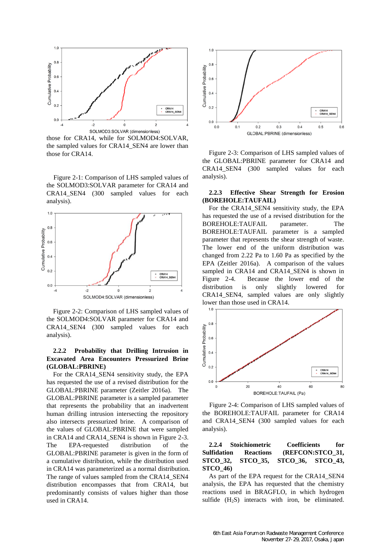

those for CRA14, while for SOLMOD4:SOLVAR, the sampled values for CRA14\_SEN4 are lower than those for CRA14.

Figure 2-1: Comparison of LHS sampled values of the SOLMOD3:SOLVAR parameter for CRA14 and CRA14 SEN4 (300 sampled values for each analysis).



Figure 2-2: Comparison of LHS sampled values of the SOLMOD4:SOLVAR parameter for CRA14 and CRA14\_SEN4 (300 sampled values for each analysis).

# **2.2.2 Probability that Drilling Intrusion in Excavated Area Encounters Pressurized Brine (GLOBAL:PBRINE)**

For the CRA14\_SEN4 sensitivity study, the EPA has requested the use of a revised distribution for the GLOBAL:PBRINE parameter (Zeitler 2016a). The GLOBAL:PBRINE parameter is a sampled parameter that represents the probability that an inadvertent human drilling intrusion intersecting the repository also intersects pressurized brine. A comparison of the values of GLOBAL:PBRINE that were sampled in CRA14 and CRA14\_SEN4 is shown in Figure 2-3. The EPA-requested distribution of the GLOBAL:PBRINE parameter is given in the form of a cumulative distribution, while the distribution used in CRA14 was parameterized as a normal distribution. The range of values sampled from the CRA14\_SEN4 distribution encompasses that from CRA14, but predominantly consists of values higher than those used in CRA14.



Figure 2-3: Comparison of LHS sampled values of the GLOBAL:PBRINE parameter for CRA14 and CRA14\_SEN4 (300 sampled values for each analysis).

## **2.2.3 Effective Shear Strength for Erosion (BOREHOLE:TAUFAIL)**

For the CRA14\_SEN4 sensitivity study, the EPA has requested the use of a revised distribution for the BOREHOLE:TAUFAIL parameter. The BOREHOLE:TAUFAIL parameter is a sampled parameter that represents the shear strength of waste. The lower end of the uniform distribution was changed from 2.22 Pa to 1.60 Pa as specified by the EPA (Zeitler 2016a). A comparison of the values sampled in CRA14 and CRA14 SEN4 is shown in Figure 2-4. Because the lower end of the distribution is only slightly lowered for CRA14\_SEN4, sampled values are only slightly lower than those used in CRA14.



Figure 2-4: Comparison of LHS sampled values of the BOREHOLE:TAUFAIL parameter for CRA14 and CRA14\_SEN4 (300 sampled values for each analysis).

# **2.2.4 Stoichiometric Coefficients for Sulfidation Reactions (REFCON:STCO\_31, STCO\_32, STCO\_35, STCO\_36, STCO\_43, STCO\_46)**

As part of the EPA request for the CRA14\_SEN4 analysis, the EPA has requested that the chemistry reactions used in BRAGFLO, in which hydrogen sulfide (H<sub>2</sub>S) interacts with iron, be eliminated.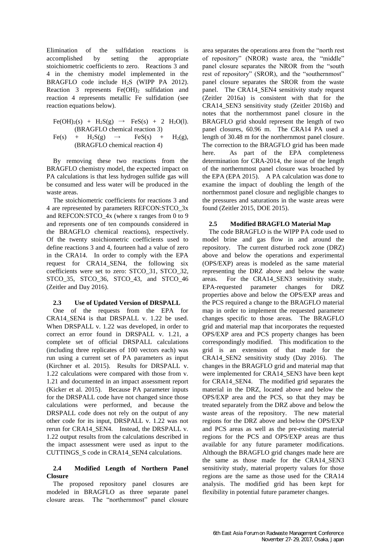Elimination of the sulfidation reactions is accomplished by setting the appropriate stoichiometric coefficients to zero. Reactions 3 and 4 in the chemistry model implemented in the BRAGFLO code include H2S (WIPP PA 2012). Reaction 3 represents  $Fe(OH)_2$  sulfidation and reaction 4 represents metallic Fe sulfidation (see reaction equations below).

$$
Fe(OH)2(s) + H2S(g) \rightarrow FeS(s) + 2 H2O(l).
$$
  
(BRAGFLO chemical reaction 3)  

$$
Fe(s) + H2S(g) \rightarrow FeS(s) + H2(g),
$$

(BRAGFLO chemical reaction 4)

By removing these two reactions from the BRAGFLO chemistry model, the expected impact on PA calculations is that less hydrogen sulfide gas will be consumed and less water will be produced in the waste areas.

The stoichiometric coefficients for reactions 3 and 4 are represented by parameters REFCON:STCO\_3x and REFCON:STCO\_4x (where x ranges from 0 to 9 and represents one of ten compounds considered in the BRAGFLO chemical reactions), respectively. Of the twenty stoichiometric coefficients used to define reactions 3 and 4, fourteen had a value of zero in the CRA14. In order to comply with the EPA request for CRA14\_SEN4, the following six coefficients were set to zero: STCO\_31, STCO\_32, STCO\_35, STCO\_36, STCO\_43, and STCO\_46 (Zeitler and Day 2016).

## **2.3 Use of Updated Version of DRSPALL**

One of the requests from the EPA for CRA14\_SEN4 is that DRSPALL v. 1.22 be used. When DRSPALL v. 1.22 was developed, in order to correct an error found in DRSPALL v. 1.21, a complete set of official DRSPALL calculations (including three replicates of 100 vectors each) was run using a current set of PA parameters as input (Kirchner et al. 2015). Results for DRSPALL v. 1.22 calculations were compared with those from v. 1.21 and documented in an impact assessment report (Kicker et al. 2015). Because PA parameter inputs for the DRSPALL code have not changed since those calculations were performed, and because the DRSPALL code does not rely on the output of any other code for its input, DRSPALL v. 1.22 was not rerun for CRA14\_SEN4. Instead, the DRSPALL v. 1.22 output results from the calculations described in the impact assessment were used as input to the CUTTINGS\_S code in CRA14\_SEN4 calculations.

## **2.4 Modified Length of Northern Panel Closure**

The proposed repository panel closures are modeled in BRAGFLO as three separate panel closure areas. The "northernmost" panel closure

area separates the operations area from the "north rest of repository" (NROR) waste area, the "middle" panel closure separates the NROR from the "south rest of repository" (SROR), and the "southernmost" panel closure separates the SROR from the waste panel. The CRA14\_SEN4 sensitivity study request (Zeitler 2016a) is consistent with that for the CRA14\_SEN3 sensitivity study (Zeitler 2016b) and notes that the northernmost panel closure in the BRAGFLO grid should represent the length of two panel closures, 60.96 m. The CRA14 PA used a length of 30.48 m for the northernmost panel closure. The correction to the BRAGFLO grid has been made here. As part of the EPA completeness determination for CRA-2014, the issue of the length of the northernmost panel closure was broached by the EPA (EPA 2015). A PA calculation was done to examine the impact of doubling the length of the northernmost panel closure and negligible changes to the pressures and saturations in the waste areas were found (Zeitler 2015, DOE 2015).

## **2.5 Modified BRAGFLO Material Map**

The code BRAGFLO is the WIPP PA code used to model brine and gas flow in and around the repository. The current disturbed rock zone (DRZ) above and below the operations and experimental (OPS/EXP) areas is modeled as the same material representing the DRZ above and below the waste areas. For the CRA14\_SEN3 sensitivity study, EPA-requested parameter changes for DRZ properties above and below the OPS/EXP areas and the PCS required a change to the BRAGFLO material map in order to implement the requested parameter changes specific to those areas. The BRAGFLO grid and material map that incorporates the requested OPS/EXP area and PCS property changes has been correspondingly modified. This modification to the grid is an extension of that made for the CRA14\_SEN2 sensitivity study (Day 2016). The changes in the BRAGFLO grid and material map that were implemented for CRA14\_SEN3 have been kept for CRA14\_SEN4. The modified grid separates the material in the DRZ, located above and below the OPS/EXP area and the PCS, so that they may be treated separately from the DRZ above and below the waste areas of the repository. The new material regions for the DRZ above and below the OPS/EXP and PCS areas as well as the pre-existing material regions for the PCS and OPS/EXP areas are thus available for any future parameter modifications. Although the BRAGFLO grid changes made here are the same as those made for the CRA14\_SEN3 sensitivity study, material property values for those regions are the same as those used for the CRA14 analysis. The modified grid has been kept for flexibility in potential future parameter changes.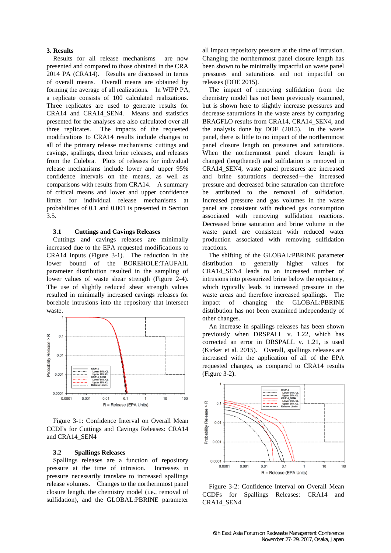## **3. Results**

Results for all release mechanisms are now presented and compared to those obtained in the CRA 2014 PA (CRA14). Results are discussed in terms of overall means. Overall means are obtained by forming the average of all realizations. In WIPP PA, a replicate consists of 100 calculated realizations. Three replicates are used to generate results for CRA14 and CRA14 SEN4. Means and statistics presented for the analyses are also calculated over all three replicates. The impacts of the requested modifications to CRA14 results include changes to all of the primary release mechanisms: cuttings and cavings, spallings, direct brine releases, and releases from the Culebra. Plots of releases for individual release mechanisms include lower and upper 95% confidence intervals on the means, as well as comparisons with results from CRA14. A summary of critical means and lower and upper confidence limits for individual release mechanisms at probabilities of 0.1 and 0.001 is presented in Section 3.5.

## **3.1 Cuttings and Cavings Releases**

Cuttings and cavings releases are minimally increased due to the EPA requested modifications to CRA14 inputs (Figure 3-1). The reduction in the lower bound of the BOREHOLE:TAUFAIL parameter distribution resulted in the sampling of lower values of waste shear strength (Figure 2-4). The use of slightly reduced shear strength values resulted in minimally increased cavings releases for borehole intrusions into the repository that intersect waste.



Figure 3-1: Confidence Interval on Overall Mean CCDFs for Cuttings and Cavings Releases: CRA14 and CRA14\_SEN4

## **3.2 Spallings Releases**

Spallings releases are a function of repository pressure at the time of intrusion. Increases in pressure necessarily translate to increased spallings release volumes. Changes to the northernmost panel closure length, the chemistry model (i.e., removal of sulfidation), and the GLOBAL:PBRINE parameter all impact repository pressure at the time of intrusion. Changing the northernmost panel closure length has been shown to be minimally impactful on waste panel pressures and saturations and not impactful on releases (DOE 2015).

The impact of removing sulfidation from the chemistry model has not been previously examined, but is shown here to slightly increase pressures and decrease saturations in the waste areas by comparing BRAGFLO results from CRA14, CRA14\_SEN4, and the analysis done by DOE (2015). In the waste panel, there is little to no impact of the northernmost panel closure length on pressures and saturations. When the northernmost panel closure length is changed (lengthened) and sulfidation is removed in CRA14\_SEN4, waste panel pressures are increased and brine saturations decreased—the increased pressure and decreased brine saturation can therefore be attributed to the removal of sulfidation. Increased pressure and gas volumes in the waste panel are consistent with reduced gas consumption associated with removing sulfidation reactions. Decreased brine saturation and brine volume in the waste panel are consistent with reduced water production associated with removing sulfidation reactions.

The shifting of the GLOBAL:PBRINE parameter distribution to generally higher values for CRA14 SEN4 leads to an increased number of intrusions into pressurized brine below the repository, which typically leads to increased pressure in the waste areas and therefore increased spallings. The impact of changing the GLOBAL:PBRINE distribution has not been examined independently of other changes.

An increase in spallings releases has been shown previously when DRSPALL v. 1.22, which has corrected an error in DRSPALL v. 1.21, is used (Kicker et al. 2015). Overall, spallings releases are increased with the application of all of the EPA requested changes, as compared to CRA14 results (Figure 3-2).



Figure 3-2: Confidence Interval on Overall Mean CCDFs for Spallings Releases: CRA14 and CRA14\_SEN4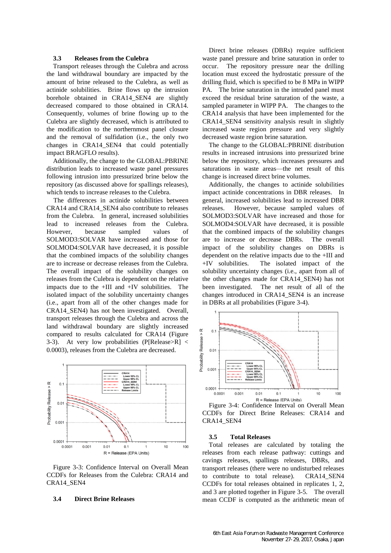### **3.3 Releases from the Culebra**

Transport releases through the Culebra and across the land withdrawal boundary are impacted by the amount of brine released to the Culebra, as well as actinide solubilities. Brine flows up the intrusion borehole obtained in CRA14 SEN4 are slightly decreased compared to those obtained in CRA14. Consequently, volumes of brine flowing up to the Culebra are slightly decreased, which is attributed to the modification to the northernmost panel closure and the removal of sulfidation (i.e., the only two changes in CRA14\_SEN4 that could potentially impact BRAGFLO results).

Additionally, the change to the GLOBAL:PBRINE distribution leads to increased waste panel pressures following intrusion into pressurized brine below the repository (as discussed above for spallings releases), which tends to increase releases to the Culebra.

The differences in actinide solubilities between CRA14 and CRA14\_SEN4 also contribute to releases from the Culebra. In general, increased solubilities lead to increased releases from the Culebra. However, because sampled values of SOLMOD3:SOLVAR have increased and those for SOLMOD4:SOLVAR have decreased, it is possible that the combined impacts of the solubility changes are to increase or decrease releases from the Culebra. The overall impact of the solubility changes on releases from the Culebra is dependent on the relative impacts due to the +III and +IV solubilities. The isolated impact of the solubility uncertainty changes (i.e., apart from all of the other changes made for CRA14\_SEN4) has not been investigated. Overall, transport releases through the Culebra and across the land withdrawal boundary are slightly increased compared to results calculated for CRA14 (Figure 3-3). At very low probabilities (P[Release>R] < 0.0003), releases from the Culebra are decreased.



Figure 3-3: Confidence Interval on Overall Mean CCDFs for Releases from the Culebra: CRA14 and CRA14\_SEN4

#### **3.4 Direct Brine Releases**

Direct brine releases (DBRs) require sufficient waste panel pressure and brine saturation in order to occur. The repository pressure near the drilling location must exceed the hydrostatic pressure of the drilling fluid, which is specified to be 8 MPa in WIPP PA. The brine saturation in the intruded panel must exceed the residual brine saturation of the waste, a sampled parameter in WIPP PA. The changes to the CRA14 analysis that have been implemented for the CRA14 SEN4 sensitivity analysis result in slightly increased waste region pressure and very slightly decreased waste region brine saturation.

The change to the GLOBAL:PBRINE distribution results in increased intrusions into pressurized brine below the repository, which increases pressures and saturations in waste areas—the net result of this change is increased direct brine volumes.

Additionally, the changes to actinide solubilities impact actinide concentrations in DBR releases. In general, increased solubilities lead to increased DBR releases. However, because sampled values of SOLMOD3:SOLVAR have increased and those for SOLMOD4:SOLVAR have decreased, it is possible that the combined impacts of the solubility changes are to increase or decrease DBRs. The overall impact of the solubility changes on DBRs is dependent on the relative impacts due to the +III and +IV solubilities. The isolated impact of the solubility uncertainty changes (i.e., apart from all of the other changes made for CRA14\_SEN4) has not been investigated. The net result of all of the changes introduced in CRA14\_SEN4 is an increase in DBRs at all probabilities (Figure 3-4).



Figure 3-4: Confidence Interval on Overall Mean CCDFs for Direct Brine Releases: CRA14 and CRA14\_SEN4

#### **3.5 Total Releases**

Total releases are calculated by totaling the releases from each release pathway: cuttings and cavings releases, spallings releases, DBRs, and transport releases (there were no undisturbed releases to contribute to total release). CRA14\_SEN4 CCDFs for total releases obtained in replicates 1, 2, and 3 are plotted together in Figure 3-5. The overall mean CCDF is computed as the arithmetic mean of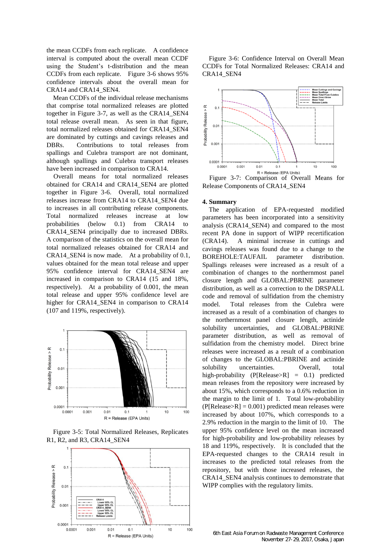the mean CCDFs from each replicate. A confidence interval is computed about the overall mean CCDF using the Student's t-distribution and the mean CCDFs from each replicate. Figure 3-6 shows 95% confidence intervals about the overall mean for CRA14 and CRA14\_SEN4.

Mean CCDFs of the individual release mechanisms that comprise total normalized releases are plotted together in Figure 3-7, as well as the CRA14\_SEN4 total release overall mean. As seen in that figure, total normalized releases obtained for CRA14\_SEN4 are dominated by cuttings and cavings releases and DBRs. Contributions to total releases from spallings and Culebra transport are not dominant, although spallings and Culebra transport releases have been increased in comparison to CRA14.

Overall means for total normalized releases obtained for CRA14 and CRA14\_SEN4 are plotted together in Figure 3-6. Overall, total normalized releases increase from CRA14 to CRA14\_SEN4 due to increases in all contributing release components. Total normalized releases increase at low probabilities (below 0.1) from CRA14 to CRA14\_SEN4 principally due to increased DBRs. A comparison of the statistics on the overall mean for total normalized releases obtained for CRA14 and CRA14\_SEN4 is now made. At a probability of 0.1, values obtained for the mean total release and upper 95% confidence interval for CRA14\_SEN4 are increased in comparison to CRA14 (15 and 18%, respectively). At a probability of 0.001, the mean total release and upper 95% confidence level are higher for CRA14\_SEN4 in comparison to CRA14 (107 and 119%, respectively).







Figure 3-6: Confidence Interval on Overall Mean CCDFs for Total Normalized Releases: CRA14 and CRA14\_SEN4



Release Components of CRA14\_SEN4

## **4. Summary**

The application of EPA-requested modified parameters has been incorporated into a sensitivity analysis (CRA14\_SEN4) and compared to the most recent PA done in support of WIPP recertification (CRA14). A minimal increase in cuttings and cavings releases was found due to a change to the BOREHOLE:TAUFAIL parameter distribution. Spallings releases were increased as a result of a combination of changes to the northernmost panel closure length and GLOBAL:PBRINE parameter distribution, as well as a correction to the DRSPALL code and removal of sulfidation from the chemistry model. Total releases from the Culebra were increased as a result of a combination of changes to the northernmost panel closure length, actinide solubility uncertainties, and GLOBAL:PBRINE parameter distribution, as well as removal of sulfidation from the chemistry model. Direct brine releases were increased as a result of a combination of changes to the GLOBAL:PBRINE and actinide solubility uncertainties. Overall, total high-probability (P[Release>R] = 0.1) predicted mean releases from the repository were increased by about 15%, which corresponds to a 0.6% reduction in the margin to the limit of 1. Total low-probability  $(P[Release > R] = 0.001)$  predicted mean releases were increased by about 107%, which corresponds to a 2.9% reduction in the margin to the limit of 10. The upper 95% confidence level on the mean increased for high-probability and low-probability releases by 18 and 119%, respectively. It is concluded that the EPA-requested changes to the CRA14 result in increases to the predicted total releases from the repository, but with those increased releases, the CRA14 SEN4 analysis continues to demonstrate that WIPP complies with the regulatory limits.